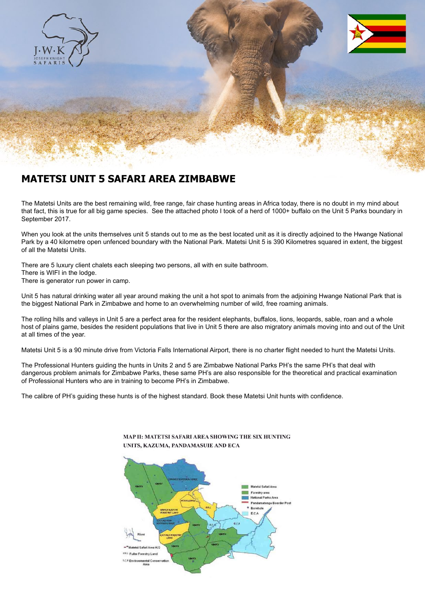

## **MATETSI UNIT 5 SAFARI AREA ZIMBABWE**

The Matetsi Units are the best remaining wild, free range, fair chase hunting areas in Africa today, there is no doubt in my mind about that fact, this is true for all big game species. See the attached photo I took of a herd of 1000+ buffalo on the Unit 5 Parks boundary in September 2017.

When you look at the units themselves unit 5 stands out to me as the best located unit as it is directly adjoined to the Hwange National Park by a 40 kilometre open unfenced boundary with the National Park. Matetsi Unit 5 is 390 Kilometres squared in extent, the biggest of all the Matetsi Units.

There are 5 luxury client chalets each sleeping two persons, all with en suite bathroom. There is WIFI in the lodge. There is generator run power in camp.

Unit 5 has natural drinking water all year around making the unit a hot spot to animals from the adjoining Hwange National Park that is the biggest National Park in Zimbabwe and home to an overwhelming number of wild, free roaming animals.

The rolling hills and valleys in Unit 5 are a perfect area for the resident elephants, buffalos, lions, leopards, sable, roan and a whole host of plains game, besides the resident populations that live in Unit 5 there are also migratory animals moving into and out of the Unit at all times of the year.

Matetsi Unit 5 is a 90 minute drive from Victoria Falls International Airport, there is no charter flight needed to hunt the Matetsi Units.

The Professional Hunters guiding the hunts in Units 2 and 5 are Zimbabwe National Parks PH's the same PH's that deal with dangerous problem animals for Zimbabwe Parks, these same PH's are also responsible for the theoretical and practical examination of Professional Hunters who are in training to become PH's in Zimbabwe.

The calibre of PH's guiding these hunts is of the highest standard. Book these Matetsi Unit hunts with confidence.



## MAP II: MATETSI SAFARI AREA SHOWING THE SIX HUNTING UNITS, KAZUMA, PANDAMASUIE AND ECA